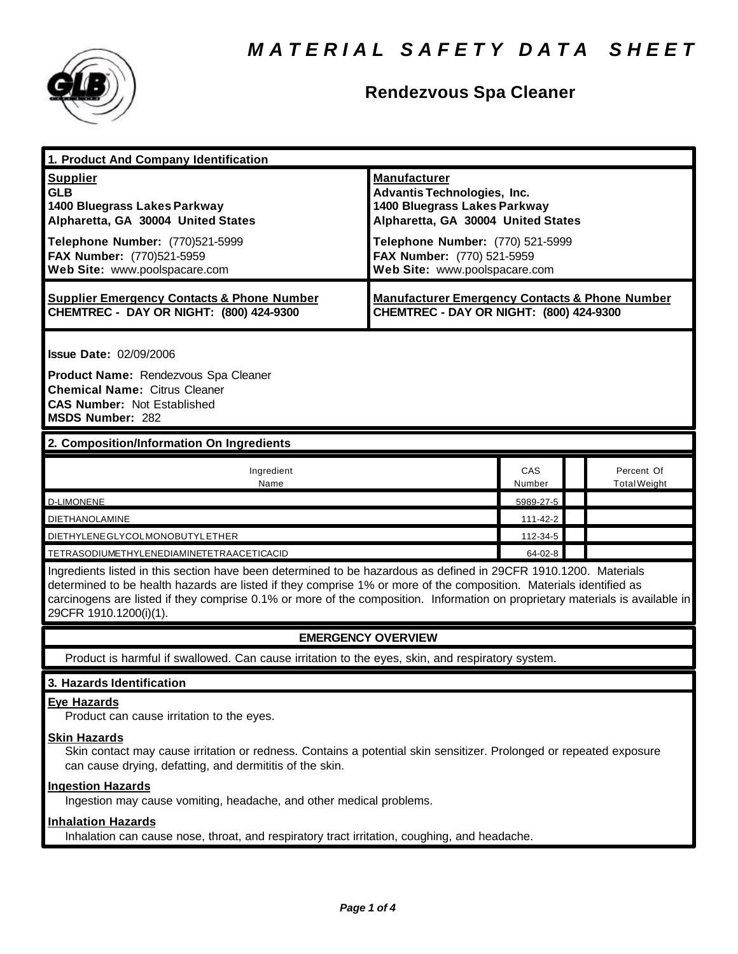

# **Rendezvous Spa Cleaner**

| 1. Product And Company Identification                                                                                                                                                                                                                                                                                                                                                             |                                                                                                                                 |               |                                   |  |
|---------------------------------------------------------------------------------------------------------------------------------------------------------------------------------------------------------------------------------------------------------------------------------------------------------------------------------------------------------------------------------------------------|---------------------------------------------------------------------------------------------------------------------------------|---------------|-----------------------------------|--|
| <b>Supplier</b><br><b>GLB</b><br>1400 Bluegrass Lakes Parkway<br>Alpharetta, GA 30004 United States                                                                                                                                                                                                                                                                                               | <b>Manufacturer</b><br><b>Advantis Technologies, Inc.</b><br>1400 Bluegrass Lakes Parkway<br>Alpharetta, GA 30004 United States |               |                                   |  |
| Telephone Number: (770)521-5999<br>FAX Number: (770)521-5959<br>Web Site: www.poolspacare.com                                                                                                                                                                                                                                                                                                     | Telephone Number: (770) 521-5999<br>FAX Number: (770) 521-5959<br>Web Site: www.poolspacare.com                                 |               |                                   |  |
| <b>Supplier Emergency Contacts &amp; Phone Number</b><br>CHEMTREC - DAY OR NIGHT: (800) 424-9300                                                                                                                                                                                                                                                                                                  | <b>Manufacturer Emergency Contacts &amp; Phone Number</b><br>CHEMTREC - DAY OR NIGHT: (800) 424-9300                            |               |                                   |  |
| <b>Issue Date: 02/09/2006</b>                                                                                                                                                                                                                                                                                                                                                                     |                                                                                                                                 |               |                                   |  |
| Product Name: Rendezvous Spa Cleaner<br><b>Chemical Name: Citrus Cleaner</b><br><b>CAS Number: Not Established</b><br><b>MSDS Number: 282</b>                                                                                                                                                                                                                                                     |                                                                                                                                 |               |                                   |  |
| 2. Composition/Information On Ingredients                                                                                                                                                                                                                                                                                                                                                         |                                                                                                                                 |               |                                   |  |
| Ingredient<br>Name                                                                                                                                                                                                                                                                                                                                                                                |                                                                                                                                 | CAS<br>Number | Percent Of<br><b>Total Weight</b> |  |
| <b>D-LIMONENE</b>                                                                                                                                                                                                                                                                                                                                                                                 |                                                                                                                                 | 5989-27-5     |                                   |  |
| <b>DIETHANOLAMINE</b>                                                                                                                                                                                                                                                                                                                                                                             |                                                                                                                                 | 111-42-2      |                                   |  |
| DIETHYLENE GLYCOLMONOBUTYL ETHER                                                                                                                                                                                                                                                                                                                                                                  |                                                                                                                                 | 112-34-5      |                                   |  |
| TETRASODIUMETHYLENEDIAMINETETRAACETICACID                                                                                                                                                                                                                                                                                                                                                         |                                                                                                                                 | 64-02-8       |                                   |  |
| Ingredients listed in this section have been determined to be hazardous as defined in 29CFR 1910.1200. Materials<br>determined to be health hazards are listed if they comprise 1% or more of the composition. Materials identified as<br>carcinogens are listed if they comprise 0.1% or more of the composition. Information on proprietary materials is available in<br>29CFR 1910.1200(i)(1). |                                                                                                                                 |               |                                   |  |
| <b>EMERGENCY OVERVIEW</b>                                                                                                                                                                                                                                                                                                                                                                         |                                                                                                                                 |               |                                   |  |
| Product is harmful if swallowed. Can cause irritation to the eyes, skin, and respiratory system.                                                                                                                                                                                                                                                                                                  |                                                                                                                                 |               |                                   |  |
| 3. Hazards Identification                                                                                                                                                                                                                                                                                                                                                                         |                                                                                                                                 |               |                                   |  |
| <b>Eye Hazards</b><br>Product can cause irritation to the eyes.                                                                                                                                                                                                                                                                                                                                   |                                                                                                                                 |               |                                   |  |
| <b>Skin Hazards</b><br>Skin contact may cause irritation or redness. Contains a potential skin sensitizer. Prolonged or repeated exposure<br>can cause drying, defatting, and dermititis of the skin.                                                                                                                                                                                             |                                                                                                                                 |               |                                   |  |

### **Ingestion Hazards**

Ingestion may cause vomiting, headache, and other medical problems.

## **Inhalation Hazards**

Inhalation can cause nose, throat, and respiratory tract irritation, coughing, and headache.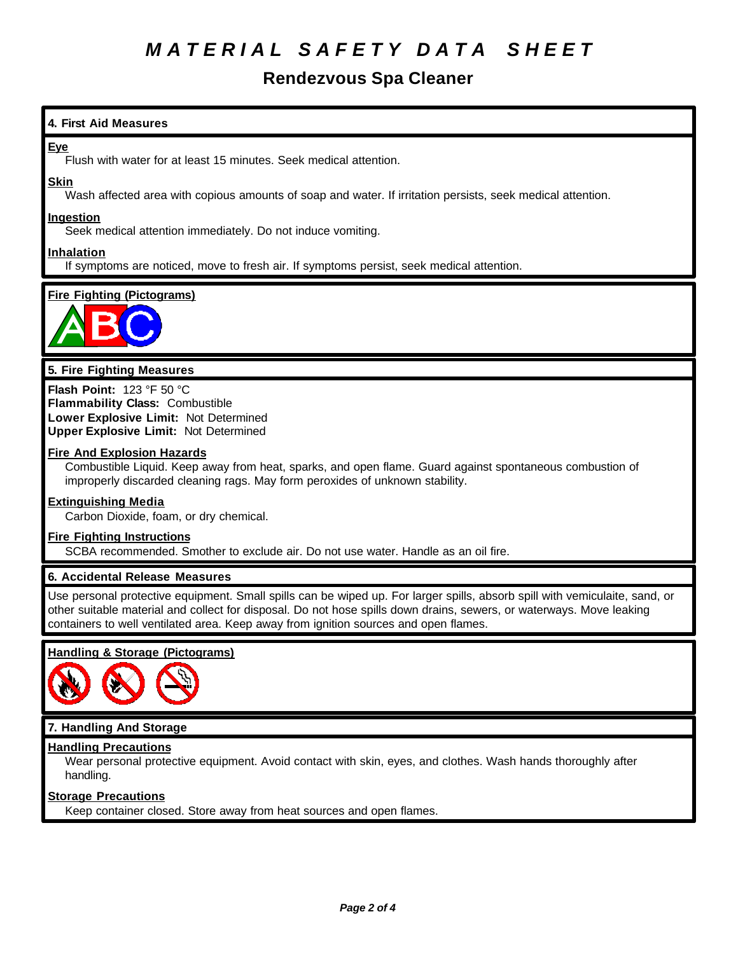# *M A T E R I A L S A F E T Y D A T A S H E E T*

# **Rendezvous Spa Cleaner**

## **4. First Aid Measures**

### **Eye**

Flush with water for at least 15 minutes. Seek medical attention.

### **Skin**

Wash affected area with copious amounts of soap and water. If irritation persists, seek medical attention.

### **Ingestion**

Seek medical attention immediately. Do not induce vomiting.

### **Inhalation**

If symptoms are noticed, move to fresh air. If symptoms persist, seek medical attention.

## **Fire Fighting (Pictograms)**



### **5. Fire Fighting Measures**

**Flash Point:** 123 °F 50 °C **Flammability Class:** Combustible **Lower Explosive Limit:** Not Determined **Upper Explosive Limit:** Not Determined

### **Fire And Explosion Hazards**

Combustible Liquid. Keep away from heat, sparks, and open flame. Guard against spontaneous combustion of improperly discarded cleaning rags. May form peroxides of unknown stability.

#### **Extinguishing Media**

Carbon Dioxide, foam, or dry chemical.

#### **Fire Fighting Instructions**

SCBA recommended. Smother to exclude air. Do not use water. Handle as an oil fire.

### **6. Accidental Release Measures**

Use personal protective equipment. Small spills can be wiped up. For larger spills, absorb spill with vemiculaite, sand, or other suitable material and collect for disposal. Do not hose spills down drains, sewers, or waterways. Move leaking containers to well ventilated area. Keep away from ignition sources and open flames.

### **Handling & Storage (Pictograms)**



### **7. Handling And Storage**

### **Handling Precautions**

Wear personal protective equipment. Avoid contact with skin, eyes, and clothes. Wash hands thoroughly after handling.

### **Storage Precautions**

Keep container closed. Store away from heat sources and open flames.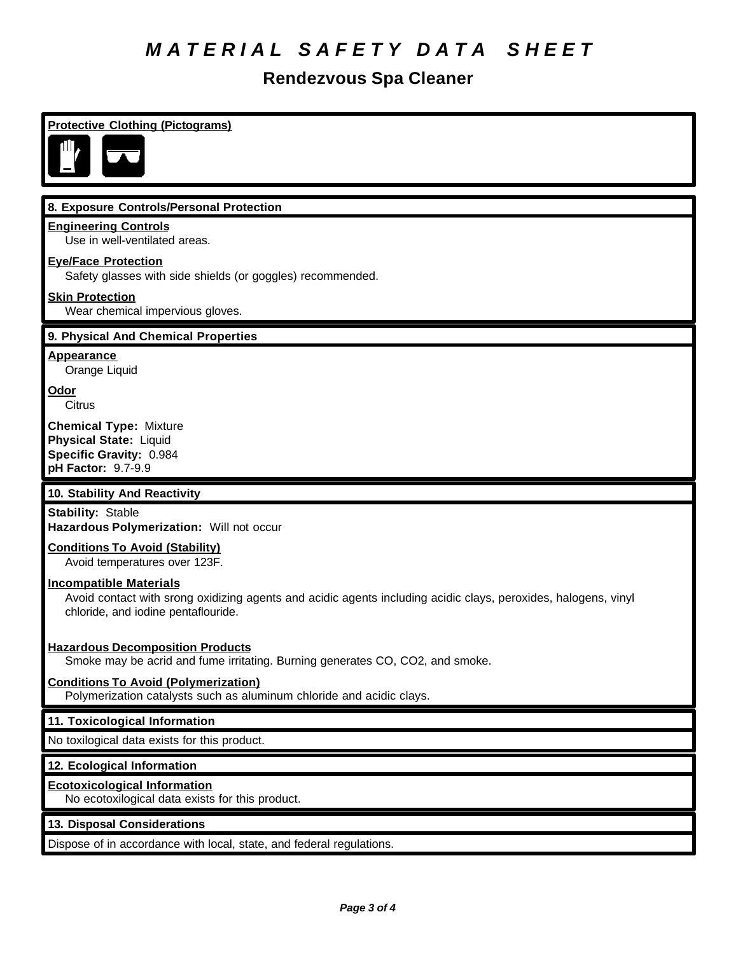# *M A T E R I A L S A F E T Y D A T A S H E E T*

# **Rendezvous Spa Cleaner**

## **Protective Clothing (Pictograms)**



### **8. Exposure Controls/Personal Protection**

### **Engineering Controls**

Use in well-ventilated areas.

### **Eye/Face Protection**

Safety glasses with side shields (or goggles) recommended.

### **Skin Protection**

Wear chemical impervious gloves.

### **9. Physical And Chemical Properties**

**Appearance**

Orange Liquid

**Odor Citrus** 

**Chemical Type:** Mixture **Physical State:** Liquid **Specific Gravity:** 0.984 **pH Factor:** 9.7-9.9

### **10. Stability And Reactivity**

**Stability:** Stable **Hazardous Polymerization:** Will not occur

### **Conditions To Avoid (Stability)**

Avoid temperatures over 123F.

### **Incompatible Materials**

Avoid contact with srong oxidizing agents and acidic agents including acidic clays, peroxides, halogens, vinyl chloride, and iodine pentaflouride.

### **Hazardous Decomposition Products**

Smoke may be acrid and fume irritating. Burning generates CO, CO2, and smoke.

### **Conditions To Avoid (Polymerization)**

Polymerization catalysts such as aluminum chloride and acidic clays.

### **11. Toxicological Information**

No toxilogical data exists for this product.

### **12. Ecological Information**

#### **Ecotoxicological Information**

No ecotoxilogical data exists for this product.

### **13. Disposal Considerations**

Dispose of in accordance with local, state, and federal regulations.